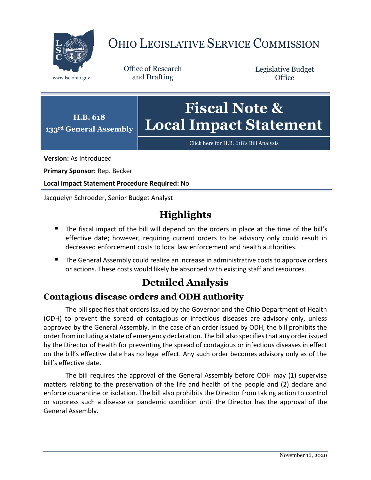

# OHIO LEGISLATIVE SERVICE COMMISSION

Office of Research www.lsc.ohio.gov and Drafting

Legislative Budget **Office** 



[Click here for H.B. 618](https://www.legislature.ohio.gov/legislation/legislation-documents?id=GA133-HB-618)'s Bill Analysis

**Version:** As Introduced

**Primary Sponsor:** Rep. Becker

**Local Impact Statement Procedure Required:** No

Jacquelyn Schroeder, Senior Budget Analyst

## **Highlights**

- The fiscal impact of the bill will depend on the orders in place at the time of the bill's effective date; however, requiring current orders to be advisory only could result in decreased enforcement costs to local law enforcement and health authorities.
- **The General Assembly could realize an increase in administrative costs to approve orders** or actions. These costs would likely be absorbed with existing staff and resources.

### **Detailed Analysis**

#### **Contagious disease orders and ODH authority**

The bill specifies that orders issued by the Governor and the Ohio Department of Health (ODH) to prevent the spread of contagious or infectious diseases are advisory only, unless approved by the General Assembly. In the case of an order issued by ODH, the bill prohibits the order from including a state of emergency declaration. The bill also specifies that any order issued by the Director of Health for preventing the spread of contagious or infectious diseases in effect on the bill's effective date has no legal effect. Any such order becomes advisory only as of the bill's effective date.

The bill requires the approval of the General Assembly before ODH may (1) supervise matters relating to the preservation of the life and health of the people and (2) declare and enforce quarantine or isolation. The bill also prohibits the Director from taking action to control or suppress such a disease or pandemic condition until the Director has the approval of the General Assembly.